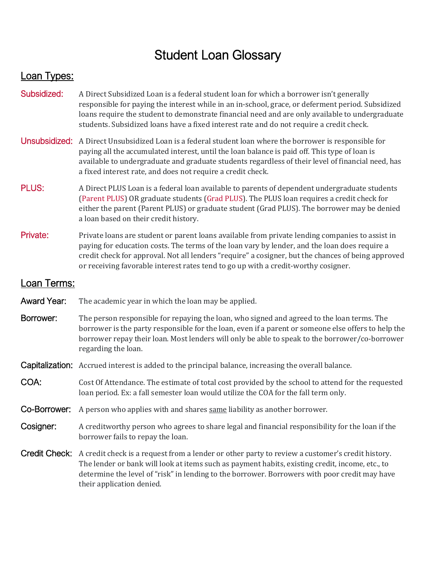## Student Loan Glossary

## Loan Types:

- [Subsidized:](https://studentaid.gov/understand-aid/types/loans/subsidized-unsubsidized) A Direct Subsidized Loan is a federal student loan for which a borrower isn't generally responsible for paying the interest while in an in-school, grace, or deferment period. Subsidized loans require the student to demonstrate financial need and are only available to undergraduate students. Subsidized loans have a fixed interest rate and do not require a credit check.
- [Unsubsidized:](https://studentaid.gov/understand-aid/types/loans/subsidized-unsubsidized) A Direct Unsubsidized Loan is a federal student loan where the borrower is responsible for paying all the accumulated interest, until the loan balance is paid off. This type of loan is available to undergraduate and graduate students regardless of their level of financial need, has a fixed interest rate, and does not require a credit check.
- [PLUS:](https://studentaid.gov/understand-aid/types/loans/plus) A Direct PLUS Loan is a federal loan available to parents of dependent undergraduate students [\(Parent PLUS\)](https://studentaid.gov/plus-app/parent/landing) OR graduate students [\(Grad PLUS\)](https://studentaid.gov/plus-app/grad/landing). The PLUS loan requires a credit check for either the parent (Parent PLUS) or graduate student (Grad PLUS). The borrower may be denied a loan based on their credit history.
- [Private:](https://www.csbsju.edu/financialaid/loans/private-loans) Private loans are student or parent loans available from private lending companies to assist in paying for education costs. The terms of the loan vary by lender, and the loan does require a credit check for approval. Not all lenders "require" a cosigner, but the chances of being approved or receiving favorable interest rates tend to go up with a credit-worthy cosigner.

## Loan Terms:

- Award Year: The academic year in which the loan may be applied.
- **Borrower:** The person responsible for repaying the loan, who signed and agreed to the loan terms. The borrower is the party responsible for the loan, even if a parent or someone else offers to help the borrower repay their loan. Most lenders will only be able to speak to the borrower/co-borrower regarding the loan.

Capitalization: Accrued interest is added to the principal balance, increasing the overall balance.

- COA: Cost Of Attendance. The estimate of total cost provided by the school to attend for the requested loan period. Ex: a fall semester loan would utilize the COA for the fall term only.
- Co-Borrower: A person who applies with and shares same liability as another borrower.
- **Cosigner:** A creditworthy person who agrees to share legal and financial responsibility for the loan if the borrower fails to repay the loan.
- Credit Check: A credit check is a request from a lender or other party to review a customer's credit history. The lender or bank will look at items such as payment habits, existing credit, income, etc., to determine the level of "risk" in lending to the borrower. Borrowers with poor credit may have their application denied.